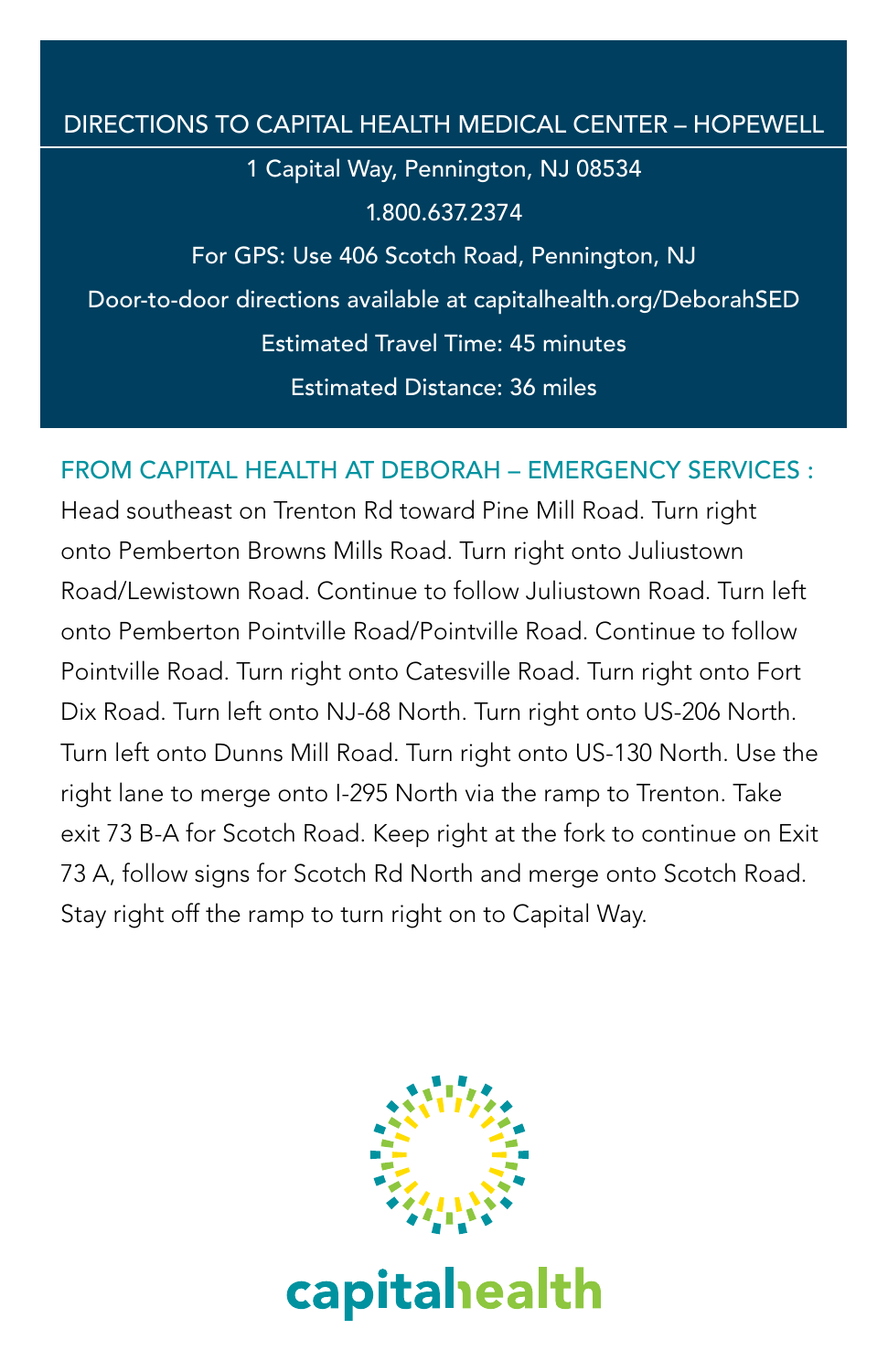## DIRECTIONS TO CAPITAL HEALTH MEDICAL CENTER – HOPEWELL

1 Capital Way, Pennington, NJ 08534 1.800.637.2374 For GPS: Use 406 Scotch Road, Pennington, NJ Door-to-door directions available at capitalhealth.org/DeborahSED Estimated Travel Time: 45 minutes Estimated Distance: 36 miles

## FROM CAPITAL HEALTH AT DEBORAH – EMERGENCY SERVICES :

Head southeast on Trenton Rd toward Pine Mill Road. Turn right onto Pemberton Browns Mills Road. Turn right onto Juliustown Road/Lewistown Road. Continue to follow Juliustown Road. Turn left onto Pemberton Pointville Road/Pointville Road. Continue to follow Pointville Road. Turn right onto Catesville Road. Turn right onto Fort Dix Road. Turn left onto NJ-68 North. Turn right onto US-206 North. Turn left onto Dunns Mill Road. Turn right onto US-130 North. Use the right lane to merge onto I-295 North via the ramp to Trenton. Take exit 73 B-A for Scotch Road. Keep right at the fork to continue on Exit 73 A, follow signs for Scotch Rd North and merge onto Scotch Road. Stay right off the ramp to turn right on to Capital Way.